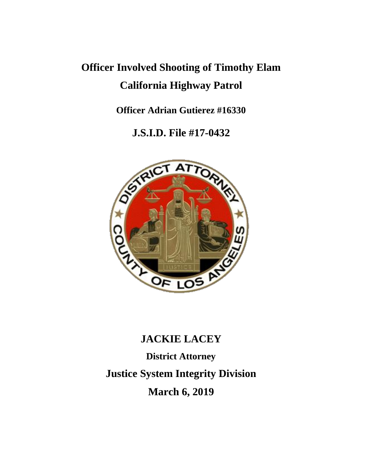# **Officer Involved Shooting of Timothy Elam California Highway Patrol**

**Officer Adrian Gutierez #16330**

**J.S.I.D. File #17-0432**



# **JACKIE LACEY**

**District Attorney Justice System Integrity Division March 6, 2019**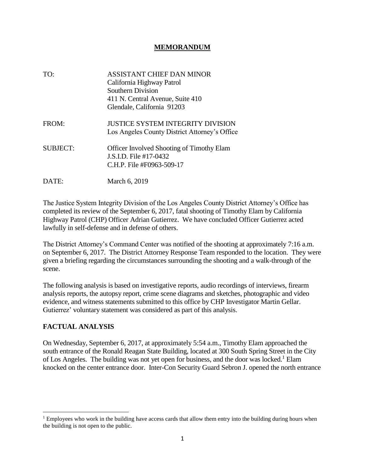#### **MEMORANDUM**

| TO:             | ASSISTANT CHIEF DAN MINOR<br>California Highway Patrol<br><b>Southern Division</b><br>411 N. Central Avenue, Suite 410<br>Glendale, California 91203 |
|-----------------|------------------------------------------------------------------------------------------------------------------------------------------------------|
| FROM:           | <b>JUSTICE SYSTEM INTEGRITY DIVISION</b><br>Los Angeles County District Attorney's Office                                                            |
| <b>SUBJECT:</b> | <b>Officer Involved Shooting of Timothy Elam</b><br>J.S.I.D. File #17-0432<br>C.H.P. File #F0963-509-17                                              |
| DATE:           | March 6, 2019                                                                                                                                        |

The Justice System Integrity Division of the Los Angeles County District Attorney's Office has completed its review of the September 6, 2017, fatal shooting of Timothy Elam by California Highway Patrol (CHP) Officer Adrian Gutierrez. We have concluded Officer Gutierrez acted lawfully in self-defense and in defense of others.

The District Attorney's Command Center was notified of the shooting at approximately 7:16 a.m. on September 6, 2017. The District Attorney Response Team responded to the location. They were given a briefing regarding the circumstances surrounding the shooting and a walk-through of the scene.

The following analysis is based on investigative reports, audio recordings of interviews, firearm analysis reports, the autopsy report, crime scene diagrams and sketches, photographic and video evidence, and witness statements submitted to this office by CHP Investigator Martin Gellar. Gutierrez' voluntary statement was considered as part of this analysis.

#### **FACTUAL ANALYSIS**

 $\overline{\phantom{a}}$ 

On Wednesday, September 6, 2017, at approximately 5:54 a.m., Timothy Elam approached the south entrance of the Ronald Reagan State Building, located at 300 South Spring Street in the City of Los Angeles. The building was not yet open for business, and the door was locked.<sup>1</sup> Elam knocked on the center entrance door. Inter-Con Security Guard Sebron J. opened the north entrance

 $1$  Employees who work in the building have access cards that allow them entry into the building during hours when the building is not open to the public.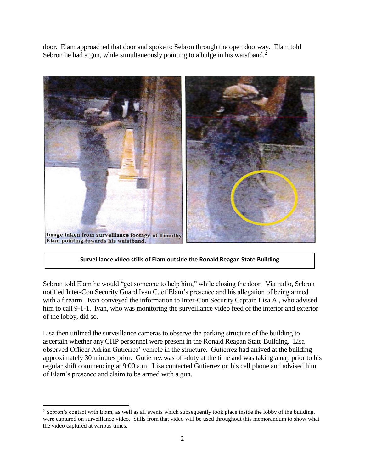door. Elam approached that door and spoke to Sebron through the open doorway. Elam told Sebron he had a gun, while simultaneously pointing to a bulge in his waistband. $2$ 



**Surveillance video stills of Elam outside the Ronald Reagan State Building**

Sebron told Elam he would "get someone to help him," while closing the door. Via radio, Sebron notified Inter-Con Security Guard Ivan C. of Elam's presence and his allegation of being armed with a firearm. Ivan conveyed the information to Inter-Con Security Captain Lisa A., who advised him to call 9-1-1. Ivan, who was monitoring the surveillance video feed of the interior and exterior of the lobby, did so.

Lisa then utilized the surveillance cameras to observe the parking structure of the building to ascertain whether any CHP personnel were present in the Ronald Reagan State Building. Lisa observed Officer Adrian Gutierrez' vehicle in the structure. Gutierrez had arrived at the building approximately 30 minutes prior. Gutierrez was off-duty at the time and was taking a nap prior to his regular shift commencing at 9:00 a.m. Lisa contacted Gutierrez on his cell phone and advised him of Elam's presence and claim to be armed with a gun.

 $\overline{\phantom{a}}$ <sup>2</sup> Sebron's contact with Elam, as well as all events which subsequently took place inside the lobby of the building, were captured on surveillance video. Stills from that video will be used throughout this memorandum to show what the video captured at various times.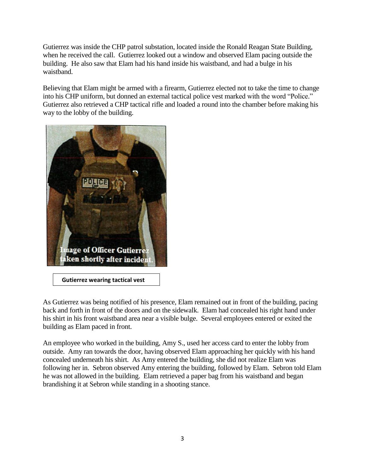Gutierrez was inside the CHP patrol substation, located inside the Ronald Reagan State Building, when he received the call. Gutierrez looked out a window and observed Elam pacing outside the building. He also saw that Elam had his hand inside his waistband, and had a bulge in his waistband.

Believing that Elam might be armed with a firearm, Gutierrez elected not to take the time to change into his CHP uniform, but donned an external tactical police vest marked with the word "Police." Gutierrez also retrieved a CHP tactical rifle and loaded a round into the chamber before making his way to the lobby of the building.



 **Gutierrez wearing tactical vest**

As Gutierrez was being notified of his presence, Elam remained out in front of the building, pacing back and forth in front of the doors and on the sidewalk. Elam had concealed his right hand under his shirt in his front waistband area near a visible bulge. Several employees entered or exited the building as Elam paced in front.

An employee who worked in the building, Amy S., used her access card to enter the lobby from outside. Amy ran towards the door, having observed Elam approaching her quickly with his hand concealed underneath his shirt. As Amy entered the building, she did not realize Elam was following her in. Sebron observed Amy entering the building, followed by Elam. Sebron told Elam he was not allowed in the building. Elam retrieved a paper bag from his waistband and began brandishing it at Sebron while standing in a shooting stance.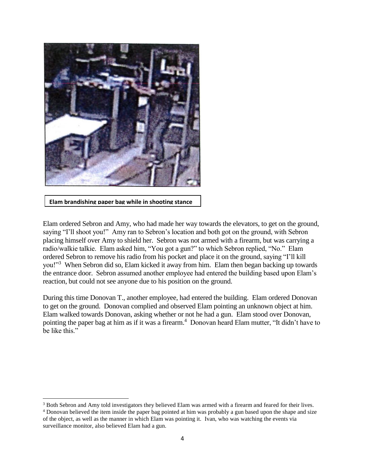

**Elam brandishing paper bag while in shooting stance**

 $\overline{\phantom{a}}$ 

Elam ordered Sebron and Amy, who had made her way towards the elevators, to get on the ground, saying "I'll shoot you!" Amy ran to Sebron's location and both got on the ground, with Sebron placing himself over Amy to shield her. Sebron was not armed with a firearm, but was carrying a radio/walkie talkie. Elam asked him, "You got a gun?" to which Sebron replied, "No." Elam ordered Sebron to remove his radio from his pocket and place it on the ground, saying "I'll kill you!"<sup>3</sup> When Sebron did so, Elam kicked it away from him. Elam then began backing up towards the entrance door. Sebron assumed another employee had entered the building based upon Elam's reaction, but could not see anyone due to his position on the ground.

During this time Donovan T., another employee, had entered the building. Elam ordered Donovan to get on the ground. Donovan complied and observed Elam pointing an unknown object at him. Elam walked towards Donovan, asking whether or not he had a gun. Elam stood over Donovan, pointing the paper bag at him as if it was a firearm.<sup>4</sup> Donovan heard Elam mutter, "It didn't have to be like this."

<sup>&</sup>lt;sup>3</sup> Both Sebron and Amy told investigators they believed Elam was armed with a firearm and feared for their lives.

<sup>&</sup>lt;sup>4</sup> Donovan believed the item inside the paper bag pointed at him was probably a gun based upon the shape and size of the object, as well as the manner in which Elam was pointing it. Ivan, who was watching the events via surveillance monitor, also believed Elam had a gun.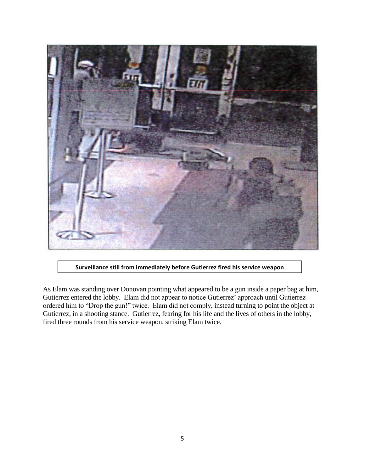



As Elam was standing over Donovan pointing what appeared to be a gun inside a paper bag at him, Gutierrez entered the lobby. Elam did not appear to notice Gutierrez' approach until Gutierrez ordered him to "Drop the gun!" twice. Elam did not comply, instead turning to point the object at Gutierrez, in a shooting stance. Gutierrez, fearing for his life and the lives of others in the lobby, fired three rounds from his service weapon, striking Elam twice.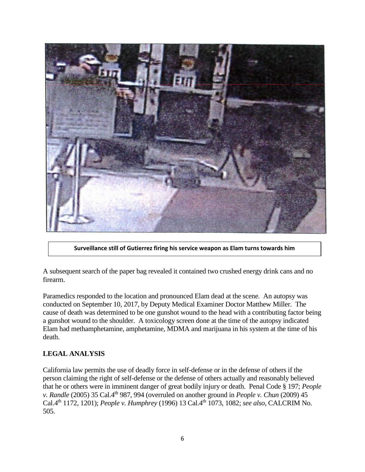

**Surveillance still of Gutierrez firing his service weapon as Elam turns towards him**

A subsequent search of the paper bag revealed it contained two crushed energy drink cans and no firearm.

Paramedics responded to the location and pronounced Elam dead at the scene. An autopsy was conducted on September 10, 2017, by Deputy Medical Examiner Doctor Matthew Miller. The cause of death was determined to be one gunshot wound to the head with a contributing factor being a gunshot wound to the shoulder. A toxicology screen done at the time of the autopsy indicated Elam had methamphetamine, amphetamine, MDMA and marijuana in his system at the time of his death.

## **LEGAL ANALYSIS**

California law permits the use of deadly force in self-defense or in the defense of others if the person claiming the right of self-defense or the defense of others actually and reasonably believed that he or others were in imminent danger of great bodily injury or death. Penal Code § 197; *People v. Randle* (2005) 35 Cal.4<sup>th</sup> 987, 994 (overruled on another ground in *People v. Chun* (2009) 45 Cal.4th 1172, 1201); *People v. Humphrey* (1996) 13 Cal.4th 1073, 1082; *see also,* CALCRIM No. 505.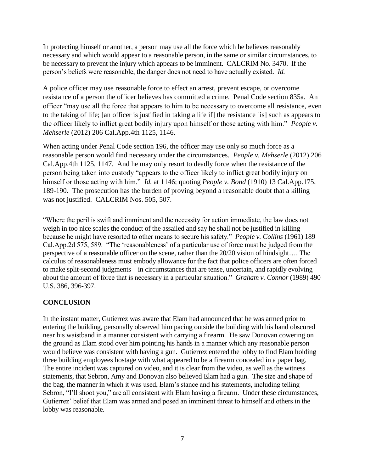In protecting himself or another, a person may use all the force which he believes reasonably necessary and which would appear to a reasonable person, in the same or similar circumstances, to be necessary to prevent the injury which appears to be imminent. CALCRIM No. 3470. If the person's beliefs were reasonable, the danger does not need to have actually existed. *Id.*

A police officer may use reasonable force to effect an arrest, prevent escape, or overcome resistance of a person the officer believes has committed a crime. Penal Code section 835a. An officer "may use all the force that appears to him to be necessary to overcome all resistance, even to the taking of life; [an officer is justified in taking a life if] the resistance [is] such as appears to the officer likely to inflict great bodily injury upon himself or those acting with him." *People v. Mehserle* (2012) 206 Cal.App.4th 1125, 1146.

When acting under Penal Code section 196, the officer may use only so much force as a reasonable person would find necessary under the circumstances. *People v. Mehserle* (2012) 206 Cal.App.4th 1125, 1147. And he may only resort to deadly force when the resistance of the person being taken into custody "appears to the officer likely to inflict great bodily injury on himself or those acting with him." *Id.* at 1146; quoting *People v. Bond* (1910) 13 Cal.App.175, 189-190. The prosecution has the burden of proving beyond a reasonable doubt that a killing was not justified. CALCRIM Nos. 505, 507.

"Where the peril is swift and imminent and the necessity for action immediate, the law does not weigh in too nice scales the conduct of the assailed and say he shall not be justified in killing because he might have resorted to other means to secure his safety." *People v. Collins* (1961) 189 Cal.App.2d 575, 589. "The 'reasonableness' of a particular use of force must be judged from the perspective of a reasonable officer on the scene, rather than the 20/20 vision of hindsight…. The calculus of reasonableness must embody allowance for the fact that police officers are often forced to make split-second judgments – in circumstances that are tense, uncertain, and rapidly evolving – about the amount of force that is necessary in a particular situation." *Graham v. Connor* (1989) 490 U.S. 386, 396-397.

### **CONCLUSION**

In the instant matter, Gutierrez was aware that Elam had announced that he was armed prior to entering the building, personally observed him pacing outside the building with his hand obscured near his waistband in a manner consistent with carrying a firearm. He saw Donovan cowering on the ground as Elam stood over him pointing his hands in a manner which any reasonable person would believe was consistent with having a gun. Gutierrez entered the lobby to find Elam holding three building employees hostage with what appeared to be a firearm concealed in a paper bag. The entire incident was captured on video, and it is clear from the video, as well as the witness statements, that Sebron, Amy and Donovan also believed Elam had a gun. The size and shape of the bag, the manner in which it was used, Elam's stance and his statements, including telling Sebron, "I'll shoot you," are all consistent with Elam having a firearm. Under these circumstances, Gutierrez' belief that Elam was armed and posed an imminent threat to himself and others in the lobby was reasonable.